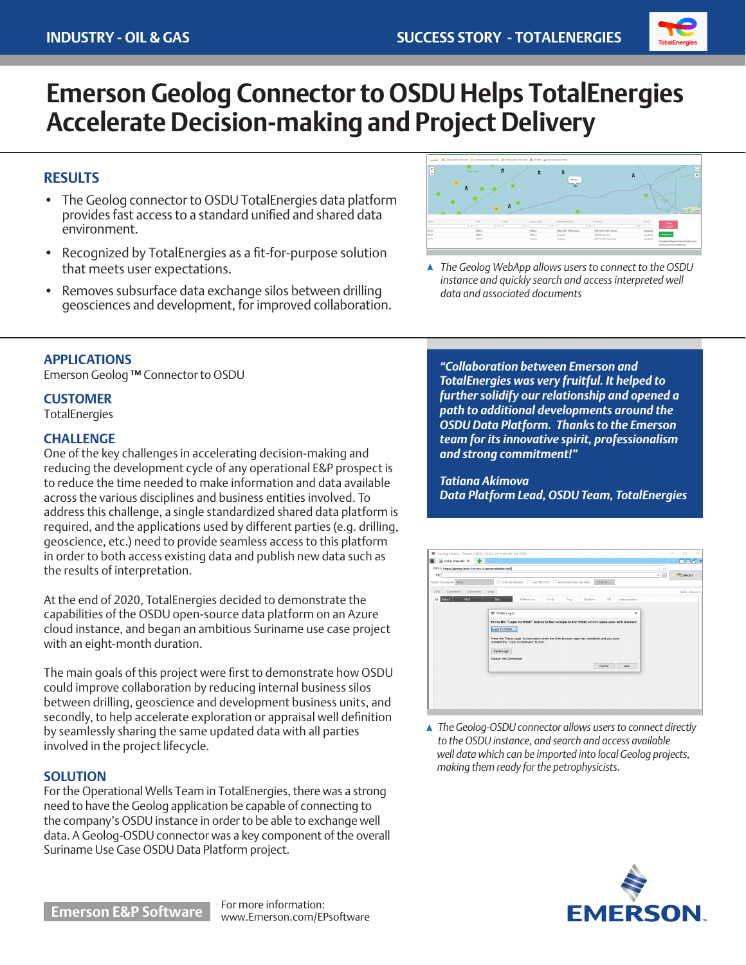

# **Emerson Geolog Connector to OSDU Helps TotalEnergies Accelerate Decision-making and Project Delivery**

# **RESULTS**

- The Geolog connector to OSDU TotalEnergies data platform provides fast access to a standard unified and shared data environment.
- Recognized by TotalEnergies as a fit-for-purpose solution that meets user expectations.
- Removes subsurface data exchange silos between drilling geosciences and development, for improved collaboration.



*The Geolog WebApp allows users to connect to the OSDU instance and quickly search and access interpreted well data and associated documents*

## **APPLICATIONS**

Emerson Geolog **™** Connector to OSDU

#### **CUSTOMER**

**TotalEnergies** 

#### **CHALLENGE**

One of the key challenges in accelerating decision-making and reducing the development cycle of any operational E&P prospect is to reduce the time needed to make information and data available across the various disciplines and business entities involved. To address this challenge, a single standardized shared data platform is required, and the applications used by different parties (e.g. drilling, geoscience, etc.) need to provide seamless access to this platform in order to both access existing data and publish new data such as the results of interpretation.

At the end of 2020, TotalEnergies decided to demonstrate the capabilities of the OSDU open-source data platform on an Azure cloud instance, and began an ambitious Suriname use case project with an eight-month duration.

The main goals of this project were first to demonstrate how OSDU could improve collaboration by reducing internal business silos between drilling, geoscience and development business units, and secondly, to help accelerate exploration or appraisal well definition by seamlessly sharing the same updated data with all parties involved in the project lifecycle.

## **SOLUTION**

For the Operational Wells Team in TotalEnergies, there was a strong need to have the Geolog application be capable of connecting to the company's OSDU instance in order to be able to exchange well data. A Geolog-OSDU connector was a key component of the overall Suriname Use Case OSDU Data Platform project.

*"Collaboration between Emerson and TotalEnergies was very fruitful. It helped to further solidify our relationship and opened a path to additional developments around the OSDU Data Platform. Thanks to the Emerson team for its innovative spirit, professionalism and strong commitment!"*

*Tatiana Akimova Data Platform Lead, OSDU Team, TotalEnergies*

| $\equiv$<br>S OSDU Importer X                        | ۰                                                                                          | <b>DESX</b>      |
|------------------------------------------------------|--------------------------------------------------------------------------------------------|------------------|
| OSDU https://geolog-osdu-lowvbu-d.azurewebsites.net/ | $\checkmark$                                                                               |                  |
| File                                                 | $\checkmark$<br>$\sim$                                                                     | <b>BR</b> IMPORT |
| Name Translation None                                | Vil Unit Conversion   Use File PWI   Reversion logs not sets<br>Options                    |                  |
| Comments<br>Sets<br>Constants                        | Logs                                                                                       | Sets: Shown 0.   |
| wer<br>中<br>Select                                   | Set<br>Reference<br><b>SR</b><br>nterpolation<br>Units<br>Top<br>Bottom                    |                  |
|                                                      |                                                                                            |                  |
|                                                      | 参 OSDU Login<br>$\times$                                                                   |                  |
|                                                      | Press the "Login To OSDU" button below to login to the OSDU server using your web browser. |                  |
|                                                      |                                                                                            |                  |
|                                                      | Login To OSDU                                                                              |                  |
|                                                      | Press the "Paste Login" button below when the Web Browser login has completed and you have |                  |
|                                                      | pressed the "Copy to Cipboard" button.                                                     |                  |
|                                                      | Paste Login                                                                                |                  |
|                                                      |                                                                                            |                  |
|                                                      |                                                                                            |                  |
|                                                      | Status: Not Connected                                                                      |                  |
|                                                      | Help<br>Cancel                                                                             |                  |
|                                                      |                                                                                            |                  |
|                                                      |                                                                                            |                  |
|                                                      |                                                                                            |                  |
|                                                      |                                                                                            |                  |
|                                                      |                                                                                            |                  |

*The Geolog-OSDU connector allows users to connect directly to the OSDU instance, and search and access available well data which can be imported into local Geolog projects, making them ready for the petrophysicists.*



**Emerson E&P Software** For more information:

www.Emerson.com/EPsoftware